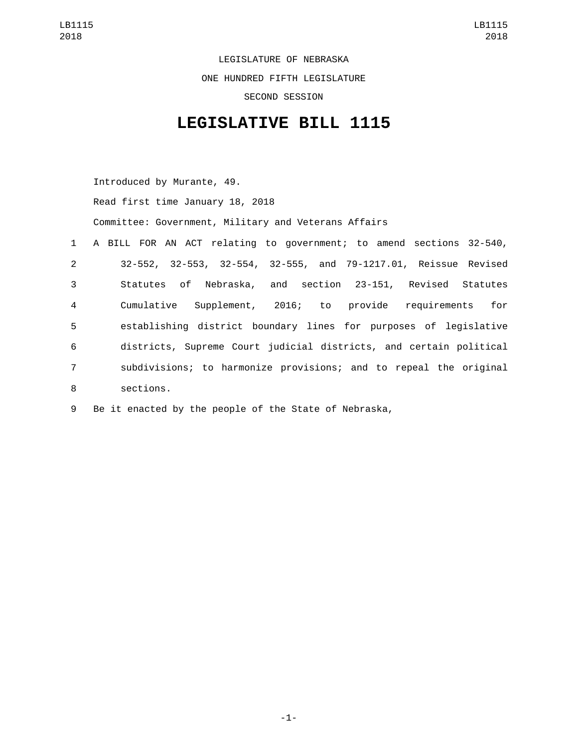LEGISLATURE OF NEBRASKA ONE HUNDRED FIFTH LEGISLATURE SECOND SESSION

## **LEGISLATIVE BILL 1115**

Introduced by Murante, 49.

Read first time January 18, 2018

Committee: Government, Military and Veterans Affairs

|                | 1 A BILL FOR AN ACT relating to government; to amend sections 32-540, |
|----------------|-----------------------------------------------------------------------|
| $2^{\circ}$    | 32-552, 32-553, 32-554, 32-555, and 79-1217.01, Reissue Revised       |
| 3              | Statutes of Nebraska, and section 23-151, Revised Statutes            |
| $\overline{4}$ | Supplement, 2016; to provide requirements for<br>Cumulative           |
| 5              | establishing district boundary lines for purposes of legislative      |
| 6              | districts, Supreme Court judicial districts, and certain political    |
| $\overline{7}$ | subdivisions; to harmonize provisions; and to repeal the original     |
| 8              | sections.                                                             |

9 Be it enacted by the people of the State of Nebraska,

-1-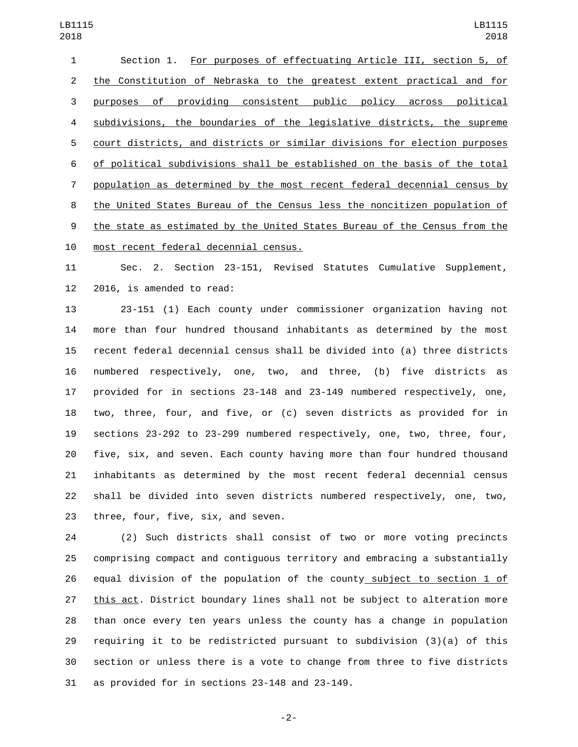| 1              | Section 1. For purposes of effectuating Article III, section 5, of        |
|----------------|---------------------------------------------------------------------------|
| $\overline{2}$ | the Constitution of Nebraska to the greatest extent practical and for     |
| 3              | of providing consistent public policy across political<br>purposes        |
| 4              | subdivisions, the boundaries of the legislative districts, the supreme    |
| 5              | court districts, and districts or similar divisions for election purposes |
| 6              | of political subdivisions shall be established on the basis of the total  |
| $\overline{7}$ | population as determined by the most recent federal decennial census by   |
| 8              | the United States Bureau of the Census less the noncitizen population of  |
| 9              | the state as estimated by the United States Bureau of the Census from the |
| 10             | most recent federal decennial census.                                     |

 Sec. 2. Section 23-151, Revised Statutes Cumulative Supplement, 12 2016, is amended to read:

 23-151 (1) Each county under commissioner organization having not more than four hundred thousand inhabitants as determined by the most recent federal decennial census shall be divided into (a) three districts numbered respectively, one, two, and three, (b) five districts as provided for in sections 23-148 and 23-149 numbered respectively, one, two, three, four, and five, or (c) seven districts as provided for in sections 23-292 to 23-299 numbered respectively, one, two, three, four, five, six, and seven. Each county having more than four hundred thousand inhabitants as determined by the most recent federal decennial census shall be divided into seven districts numbered respectively, one, two, 23 three, four, five, six, and seven.

 (2) Such districts shall consist of two or more voting precincts comprising compact and contiguous territory and embracing a substantially 26 equal division of the population of the county subject to section 1 of 27 this act. District boundary lines shall not be subject to alteration more than once every ten years unless the county has a change in population requiring it to be redistricted pursuant to subdivision (3)(a) of this section or unless there is a vote to change from three to five districts as provided for in sections 23-148 and 23-149.

-2-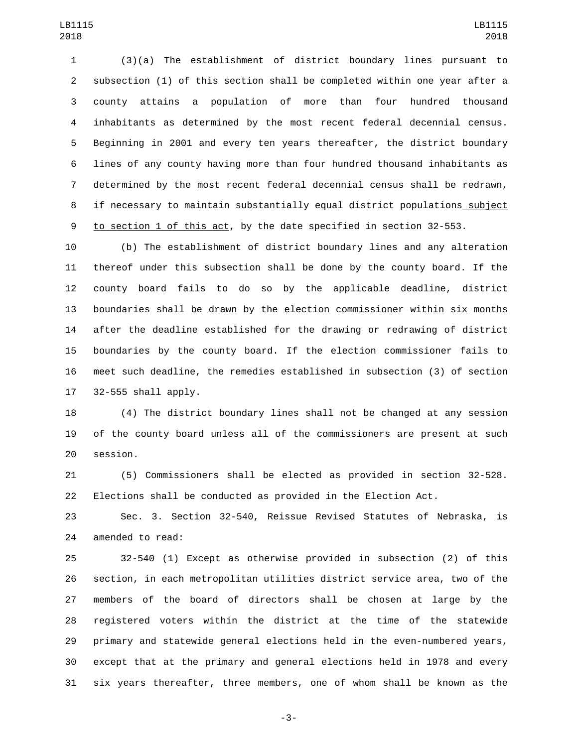(3)(a) The establishment of district boundary lines pursuant to subsection (1) of this section shall be completed within one year after a county attains a population of more than four hundred thousand inhabitants as determined by the most recent federal decennial census. Beginning in 2001 and every ten years thereafter, the district boundary lines of any county having more than four hundred thousand inhabitants as determined by the most recent federal decennial census shall be redrawn, if necessary to maintain substantially equal district populations subject to section 1 of this act, by the date specified in section 32-553.

 (b) The establishment of district boundary lines and any alteration thereof under this subsection shall be done by the county board. If the county board fails to do so by the applicable deadline, district boundaries shall be drawn by the election commissioner within six months after the deadline established for the drawing or redrawing of district boundaries by the county board. If the election commissioner fails to meet such deadline, the remedies established in subsection (3) of section 32-555 shall apply.

 (4) The district boundary lines shall not be changed at any session of the county board unless all of the commissioners are present at such 20 session.

 (5) Commissioners shall be elected as provided in section 32-528. Elections shall be conducted as provided in the Election Act.

 Sec. 3. Section 32-540, Reissue Revised Statutes of Nebraska, is 24 amended to read:

 32-540 (1) Except as otherwise provided in subsection (2) of this section, in each metropolitan utilities district service area, two of the members of the board of directors shall be chosen at large by the registered voters within the district at the time of the statewide primary and statewide general elections held in the even-numbered years, except that at the primary and general elections held in 1978 and every six years thereafter, three members, one of whom shall be known as the

-3-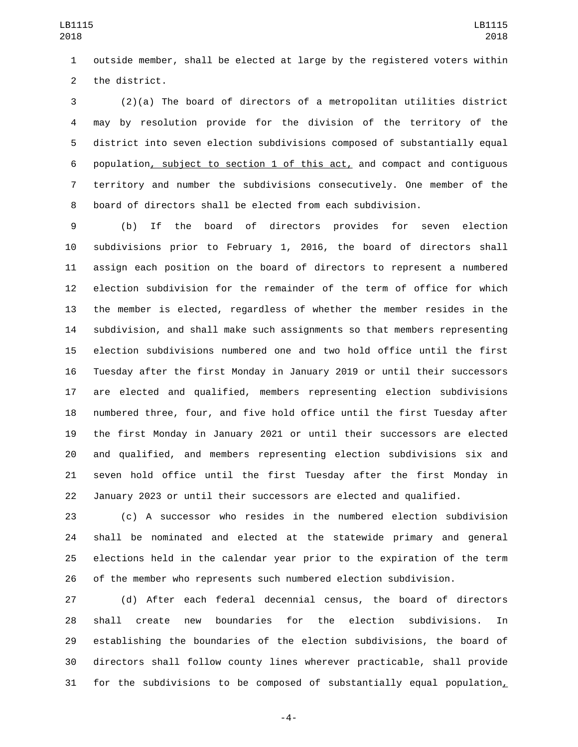outside member, shall be elected at large by the registered voters within 2 the district.

 (2)(a) The board of directors of a metropolitan utilities district may by resolution provide for the division of the territory of the district into seven election subdivisions composed of substantially equal population, subject to section 1 of this act, and compact and contiguous territory and number the subdivisions consecutively. One member of the board of directors shall be elected from each subdivision.

 (b) If the board of directors provides for seven election subdivisions prior to February 1, 2016, the board of directors shall assign each position on the board of directors to represent a numbered election subdivision for the remainder of the term of office for which the member is elected, regardless of whether the member resides in the subdivision, and shall make such assignments so that members representing election subdivisions numbered one and two hold office until the first Tuesday after the first Monday in January 2019 or until their successors are elected and qualified, members representing election subdivisions numbered three, four, and five hold office until the first Tuesday after the first Monday in January 2021 or until their successors are elected and qualified, and members representing election subdivisions six and seven hold office until the first Tuesday after the first Monday in January 2023 or until their successors are elected and qualified.

 (c) A successor who resides in the numbered election subdivision shall be nominated and elected at the statewide primary and general elections held in the calendar year prior to the expiration of the term of the member who represents such numbered election subdivision.

 (d) After each federal decennial census, the board of directors shall create new boundaries for the election subdivisions. In establishing the boundaries of the election subdivisions, the board of directors shall follow county lines wherever practicable, shall provide for the subdivisions to be composed of substantially equal population,

-4-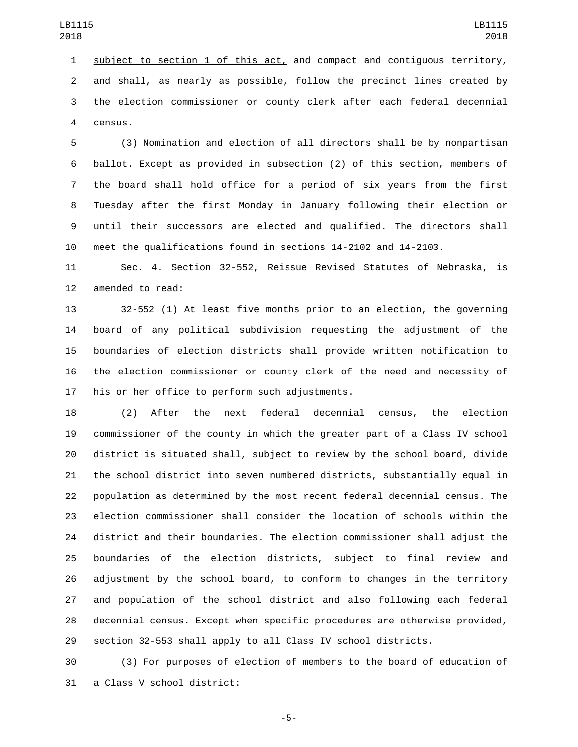1 subject to section 1 of this act, and compact and contiguous territory, and shall, as nearly as possible, follow the precinct lines created by the election commissioner or county clerk after each federal decennial 4 census.

 (3) Nomination and election of all directors shall be by nonpartisan ballot. Except as provided in subsection (2) of this section, members of the board shall hold office for a period of six years from the first Tuesday after the first Monday in January following their election or until their successors are elected and qualified. The directors shall meet the qualifications found in sections 14-2102 and 14-2103.

 Sec. 4. Section 32-552, Reissue Revised Statutes of Nebraska, is 12 amended to read:

 32-552 (1) At least five months prior to an election, the governing board of any political subdivision requesting the adjustment of the boundaries of election districts shall provide written notification to the election commissioner or county clerk of the need and necessity of 17 his or her office to perform such adjustments.

 (2) After the next federal decennial census, the election commissioner of the county in which the greater part of a Class IV school district is situated shall, subject to review by the school board, divide the school district into seven numbered districts, substantially equal in population as determined by the most recent federal decennial census. The election commissioner shall consider the location of schools within the district and their boundaries. The election commissioner shall adjust the boundaries of the election districts, subject to final review and adjustment by the school board, to conform to changes in the territory and population of the school district and also following each federal decennial census. Except when specific procedures are otherwise provided, section 32-553 shall apply to all Class IV school districts.

 (3) For purposes of election of members to the board of education of 31 a Class V school district:

-5-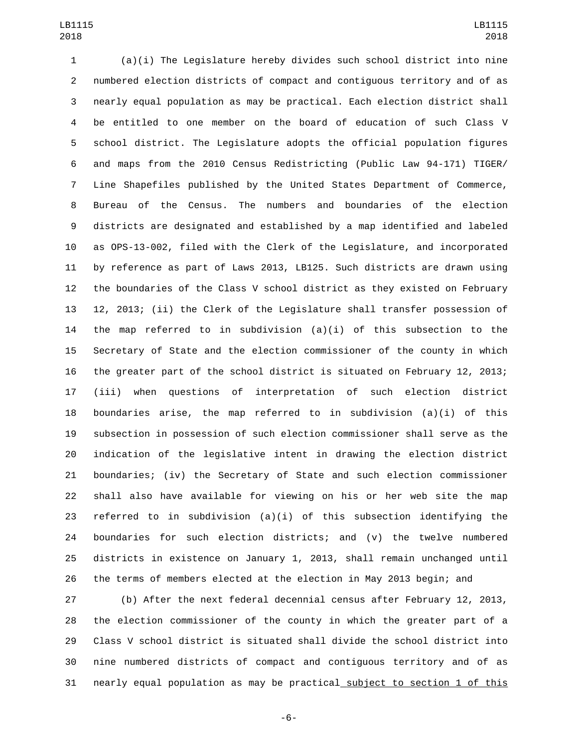(a)(i) The Legislature hereby divides such school district into nine numbered election districts of compact and contiguous territory and of as nearly equal population as may be practical. Each election district shall be entitled to one member on the board of education of such Class V school district. The Legislature adopts the official population figures and maps from the 2010 Census Redistricting (Public Law 94-171) TIGER/ Line Shapefiles published by the United States Department of Commerce, Bureau of the Census. The numbers and boundaries of the election districts are designated and established by a map identified and labeled as OPS-13-002, filed with the Clerk of the Legislature, and incorporated by reference as part of Laws 2013, LB125. Such districts are drawn using the boundaries of the Class V school district as they existed on February 12, 2013; (ii) the Clerk of the Legislature shall transfer possession of the map referred to in subdivision (a)(i) of this subsection to the Secretary of State and the election commissioner of the county in which the greater part of the school district is situated on February 12, 2013; (iii) when questions of interpretation of such election district 18 boundaries arise, the map referred to in subdivision  $(a)(i)$  of this subsection in possession of such election commissioner shall serve as the indication of the legislative intent in drawing the election district boundaries; (iv) the Secretary of State and such election commissioner shall also have available for viewing on his or her web site the map referred to in subdivision (a)(i) of this subsection identifying the boundaries for such election districts; and (v) the twelve numbered districts in existence on January 1, 2013, shall remain unchanged until the terms of members elected at the election in May 2013 begin; and

 (b) After the next federal decennial census after February 12, 2013, the election commissioner of the county in which the greater part of a Class V school district is situated shall divide the school district into nine numbered districts of compact and contiguous territory and of as nearly equal population as may be practical subject to section 1 of this

-6-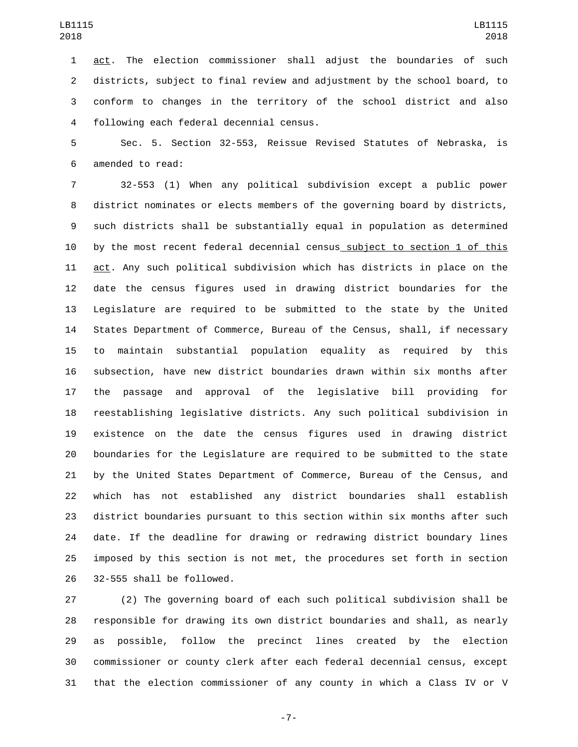act. The election commissioner shall adjust the boundaries of such districts, subject to final review and adjustment by the school board, to conform to changes in the territory of the school district and also following each federal decennial census.4

 Sec. 5. Section 32-553, Reissue Revised Statutes of Nebraska, is 6 amended to read:

 32-553 (1) When any political subdivision except a public power district nominates or elects members of the governing board by districts, such districts shall be substantially equal in population as determined by the most recent federal decennial census subject to section 1 of this act. Any such political subdivision which has districts in place on the date the census figures used in drawing district boundaries for the Legislature are required to be submitted to the state by the United States Department of Commerce, Bureau of the Census, shall, if necessary to maintain substantial population equality as required by this subsection, have new district boundaries drawn within six months after the passage and approval of the legislative bill providing for reestablishing legislative districts. Any such political subdivision in existence on the date the census figures used in drawing district boundaries for the Legislature are required to be submitted to the state by the United States Department of Commerce, Bureau of the Census, and which has not established any district boundaries shall establish district boundaries pursuant to this section within six months after such date. If the deadline for drawing or redrawing district boundary lines imposed by this section is not met, the procedures set forth in section 26 32-555 shall be followed.

 (2) The governing board of each such political subdivision shall be responsible for drawing its own district boundaries and shall, as nearly as possible, follow the precinct lines created by the election commissioner or county clerk after each federal decennial census, except that the election commissioner of any county in which a Class IV or V

-7-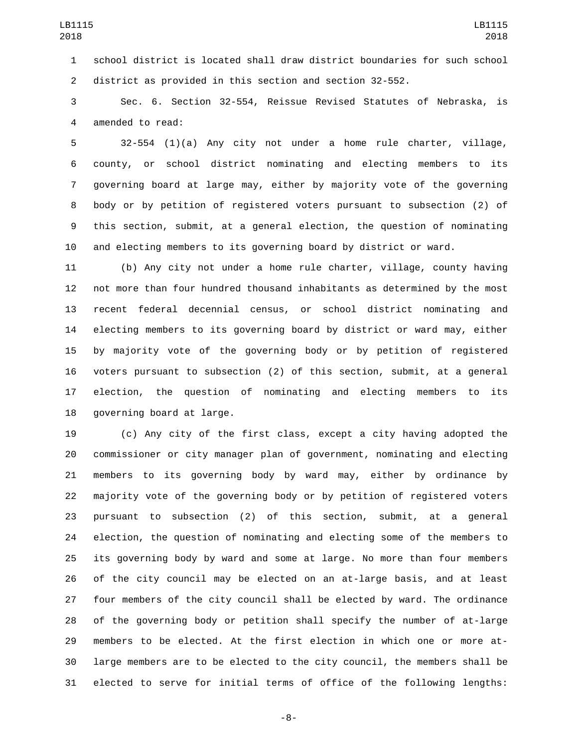school district is located shall draw district boundaries for such school district as provided in this section and section 32-552.

 Sec. 6. Section 32-554, Reissue Revised Statutes of Nebraska, is 4 amended to read:

 32-554 (1)(a) Any city not under a home rule charter, village, county, or school district nominating and electing members to its governing board at large may, either by majority vote of the governing body or by petition of registered voters pursuant to subsection (2) of this section, submit, at a general election, the question of nominating and electing members to its governing board by district or ward.

 (b) Any city not under a home rule charter, village, county having not more than four hundred thousand inhabitants as determined by the most recent federal decennial census, or school district nominating and electing members to its governing board by district or ward may, either by majority vote of the governing body or by petition of registered voters pursuant to subsection (2) of this section, submit, at a general election, the question of nominating and electing members to its 18 governing board at large.

 (c) Any city of the first class, except a city having adopted the commissioner or city manager plan of government, nominating and electing members to its governing body by ward may, either by ordinance by majority vote of the governing body or by petition of registered voters pursuant to subsection (2) of this section, submit, at a general election, the question of nominating and electing some of the members to its governing body by ward and some at large. No more than four members of the city council may be elected on an at-large basis, and at least four members of the city council shall be elected by ward. The ordinance of the governing body or petition shall specify the number of at-large members to be elected. At the first election in which one or more at- large members are to be elected to the city council, the members shall be elected to serve for initial terms of office of the following lengths:

-8-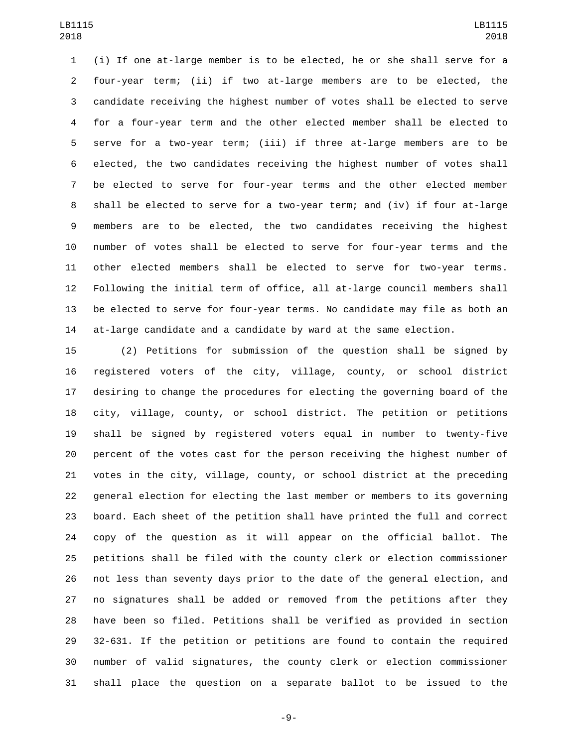(i) If one at-large member is to be elected, he or she shall serve for a four-year term; (ii) if two at-large members are to be elected, the candidate receiving the highest number of votes shall be elected to serve for a four-year term and the other elected member shall be elected to serve for a two-year term; (iii) if three at-large members are to be elected, the two candidates receiving the highest number of votes shall be elected to serve for four-year terms and the other elected member shall be elected to serve for a two-year term; and (iv) if four at-large members are to be elected, the two candidates receiving the highest number of votes shall be elected to serve for four-year terms and the other elected members shall be elected to serve for two-year terms. Following the initial term of office, all at-large council members shall be elected to serve for four-year terms. No candidate may file as both an at-large candidate and a candidate by ward at the same election.

 (2) Petitions for submission of the question shall be signed by registered voters of the city, village, county, or school district desiring to change the procedures for electing the governing board of the city, village, county, or school district. The petition or petitions shall be signed by registered voters equal in number to twenty-five percent of the votes cast for the person receiving the highest number of votes in the city, village, county, or school district at the preceding general election for electing the last member or members to its governing board. Each sheet of the petition shall have printed the full and correct copy of the question as it will appear on the official ballot. The petitions shall be filed with the county clerk or election commissioner not less than seventy days prior to the date of the general election, and no signatures shall be added or removed from the petitions after they have been so filed. Petitions shall be verified as provided in section 32-631. If the petition or petitions are found to contain the required number of valid signatures, the county clerk or election commissioner shall place the question on a separate ballot to be issued to the

-9-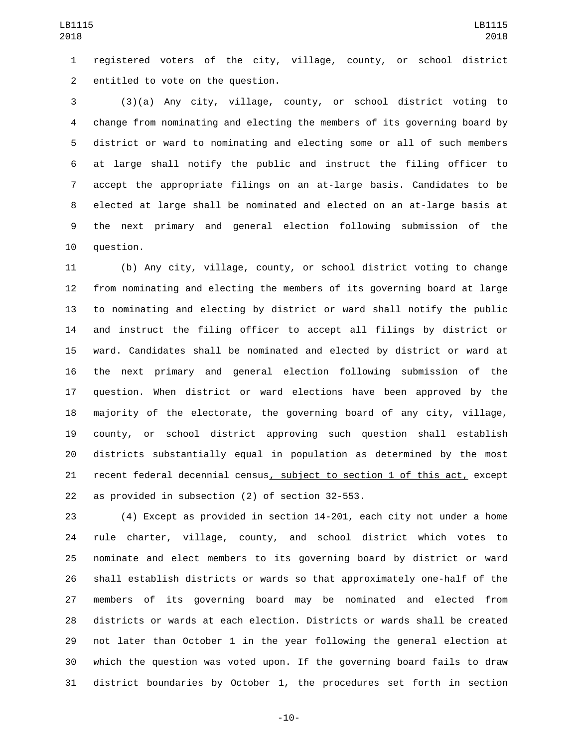registered voters of the city, village, county, or school district 2 entitled to vote on the question.

 (3)(a) Any city, village, county, or school district voting to change from nominating and electing the members of its governing board by district or ward to nominating and electing some or all of such members at large shall notify the public and instruct the filing officer to accept the appropriate filings on an at-large basis. Candidates to be elected at large shall be nominated and elected on an at-large basis at the next primary and general election following submission of the 10 question.

 (b) Any city, village, county, or school district voting to change from nominating and electing the members of its governing board at large to nominating and electing by district or ward shall notify the public and instruct the filing officer to accept all filings by district or ward. Candidates shall be nominated and elected by district or ward at the next primary and general election following submission of the question. When district or ward elections have been approved by the majority of the electorate, the governing board of any city, village, county, or school district approving such question shall establish districts substantially equal in population as determined by the most recent federal decennial census, subject to section 1 of this act, except 22 as provided in subsection  $(2)$  of section 32-553.

 (4) Except as provided in section 14-201, each city not under a home rule charter, village, county, and school district which votes to nominate and elect members to its governing board by district or ward shall establish districts or wards so that approximately one-half of the members of its governing board may be nominated and elected from districts or wards at each election. Districts or wards shall be created not later than October 1 in the year following the general election at which the question was voted upon. If the governing board fails to draw district boundaries by October 1, the procedures set forth in section

-10-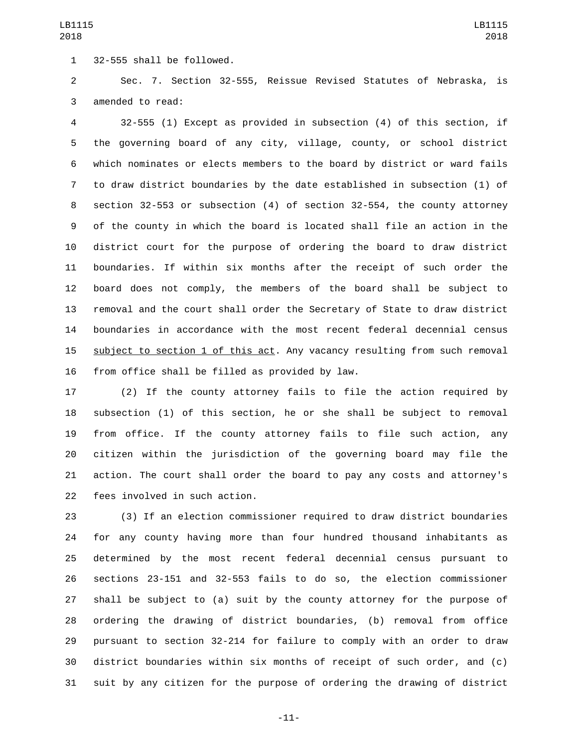32-555 shall be followed.1

 Sec. 7. Section 32-555, Reissue Revised Statutes of Nebraska, is 3 amended to read:

 32-555 (1) Except as provided in subsection (4) of this section, if the governing board of any city, village, county, or school district which nominates or elects members to the board by district or ward fails to draw district boundaries by the date established in subsection (1) of section 32-553 or subsection (4) of section 32-554, the county attorney of the county in which the board is located shall file an action in the district court for the purpose of ordering the board to draw district boundaries. If within six months after the receipt of such order the board does not comply, the members of the board shall be subject to removal and the court shall order the Secretary of State to draw district boundaries in accordance with the most recent federal decennial census subject to section 1 of this act. Any vacancy resulting from such removal 16 from office shall be filled as provided by law.

 (2) If the county attorney fails to file the action required by subsection (1) of this section, he or she shall be subject to removal from office. If the county attorney fails to file such action, any citizen within the jurisdiction of the governing board may file the action. The court shall order the board to pay any costs and attorney's 22 fees involved in such action.

 (3) If an election commissioner required to draw district boundaries for any county having more than four hundred thousand inhabitants as determined by the most recent federal decennial census pursuant to sections 23-151 and 32-553 fails to do so, the election commissioner shall be subject to (a) suit by the county attorney for the purpose of ordering the drawing of district boundaries, (b) removal from office pursuant to section 32-214 for failure to comply with an order to draw district boundaries within six months of receipt of such order, and (c) suit by any citizen for the purpose of ordering the drawing of district

-11-